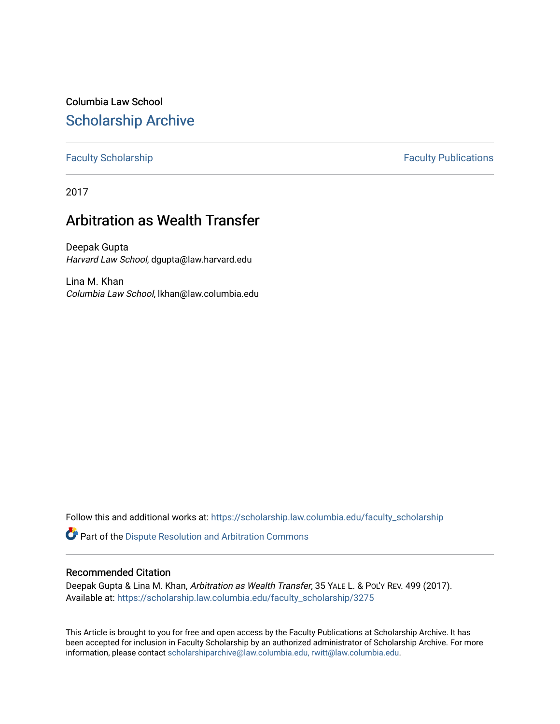Columbia Law School [Scholarship Archive](https://scholarship.law.columbia.edu/) 

[Faculty Scholarship](https://scholarship.law.columbia.edu/faculty_scholarship) **Faculty Scholarship Faculty Publications** 

2017

# Arbitration as Wealth Transfer

Deepak Gupta Harvard Law School, dgupta@law.harvard.edu

Lina M. Khan Columbia Law School, lkhan@law.columbia.edu

Follow this and additional works at: [https://scholarship.law.columbia.edu/faculty\\_scholarship](https://scholarship.law.columbia.edu/faculty_scholarship?utm_source=scholarship.law.columbia.edu%2Ffaculty_scholarship%2F3275&utm_medium=PDF&utm_campaign=PDFCoverPages)

**C** Part of the Dispute Resolution and Arbitration Commons

# Recommended Citation

Deepak Gupta & Lina M. Khan, Arbitration as Wealth Transfer, 35 YALE L. & POL'Y REV. 499 (2017). Available at: [https://scholarship.law.columbia.edu/faculty\\_scholarship/3275](https://scholarship.law.columbia.edu/faculty_scholarship/3275?utm_source=scholarship.law.columbia.edu%2Ffaculty_scholarship%2F3275&utm_medium=PDF&utm_campaign=PDFCoverPages)

This Article is brought to you for free and open access by the Faculty Publications at Scholarship Archive. It has been accepted for inclusion in Faculty Scholarship by an authorized administrator of Scholarship Archive. For more information, please contact [scholarshiparchive@law.columbia.edu, rwitt@law.columbia.edu](mailto:scholarshiparchive@law.columbia.edu,%20rwitt@law.columbia.edu).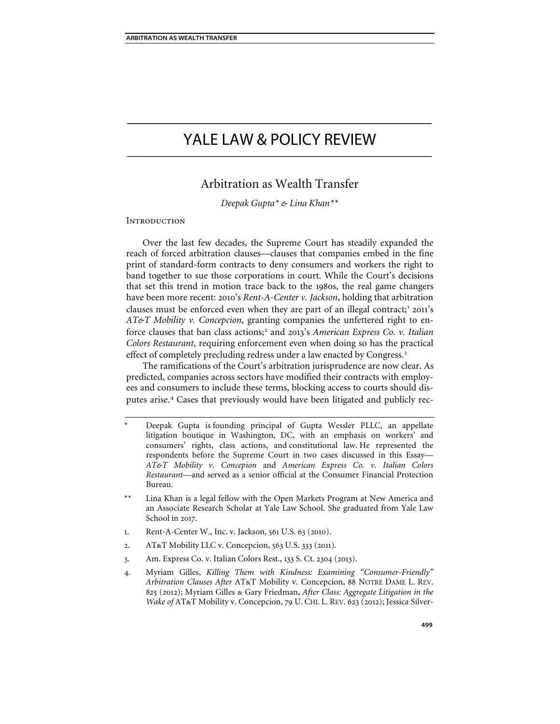# YALE LAW & POLICY REVIEW

# Arbitration as Wealth Transfer

*Deepak Gupta[\\*](#page-1-0) & Lina Khan[\\*\\*](#page-1-1)*

# **INTRODUCTION**

Over the last few decades, the Supreme Court has steadily expanded the reach of forced arbitration clauses—clauses that companies embed in the fine print of standard-form contracts to deny consumers and workers the right to band together to sue those corporations in court. While the Court's decisions that set this trend in motion trace back to the 1980s, the real game changers have been more recent: 2010's *Rent-A-Center v. Jackson*, holding that arbitration clauses must be enforced even when they are part of an illegal contract;<sup>[1](#page-1-2)</sup> 2011's *AT&T Mobility v. Concepcion*, granting companies the unfettered right to enforce clauses that ban class actions;[2](#page-1-3) and 2013's *American Express Co. v. Italian Colors Restaurant*, requiring enforcement even when doing so has the practical effect of completely precluding redress under a law enacted by Congress.[3](#page-1-4)

The ramifications of the Court's arbitration jurisprudence are now clear. As predicted, companies across sectors have modified their contracts with employees and consumers to include these terms, blocking access to courts should dis-putes arise.<sup>[4](#page-1-5)</sup> Cases that previously would have been litigated and publicly rec-

- <span id="page-1-1"></span>Lina Khan is a legal fellow with the Open Markets Program at New America and an Associate Research Scholar at Yale Law School. She graduated from Yale Law School in 2017.
- <span id="page-1-3"></span><span id="page-1-2"></span>1. Rent-A-Center W., Inc. v. Jackson, 561 U.S. 63 (2010).
- 2. AT&T Mobility LLC v. Concepcion, 563 U.S. 333 (2011).
- <span id="page-1-4"></span>3. Am. Express Co. v. Italian Colors Rest., 133 S. Ct. 2304 (2013).
- <span id="page-1-5"></span>4. Myriam Gilles, *Killing Them with Kindness: Examining "Consumer-Friendly" Arbitration Clauses After* AT&T Mobility v. Concepcion, 88 NOTRE DAME L. REV. 825 (2012); Myriam Gilles & Gary Friedman, *After Class: Aggregate Litigation in the Wake of* AT&T Mobility v. Concepcion, 79 U. CHI. L. REV. 623 (2012); Jessica Silver-

<span id="page-1-0"></span>Deepak Gupta is founding principal of Gupta Wessler PLLC, an appellate litigation boutique in Washington, DC, with an emphasis on workers' and consumers' rights, class actions, and constitutional law. He represented the respondents before the Supreme Court in two cases discussed in this Essay— *AT&T Mobility v. Concepion* and *American Express Co. v. Italian Colors Restaurant*—and served as a senior official at the Consumer Financial Protection Bureau.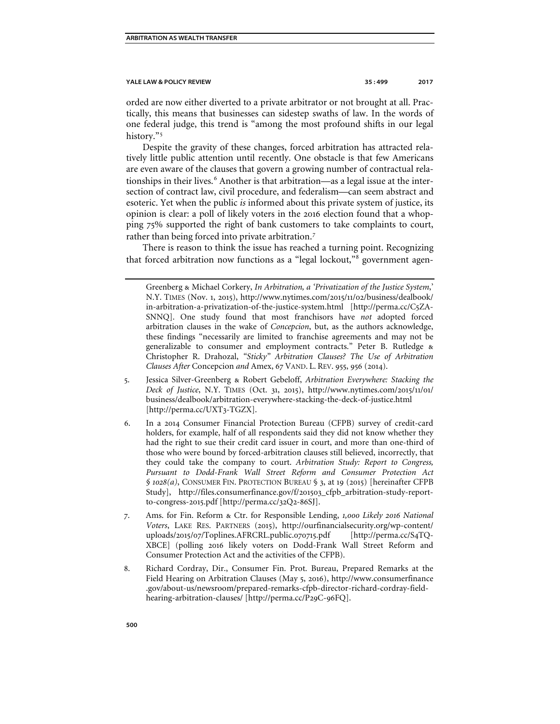orded are now either diverted to a private arbitrator or not brought at all. Practically, this means that businesses can sidestep swaths of law. In the words of one federal judge, this trend is "among the most profound shifts in our legal history."<sup>[5](#page-2-0)</sup>

Despite the gravity of these changes, forced arbitration has attracted relatively little public attention until recently. One obstacle is that few Americans are even aware of the clauses that govern a growing number of contractual rela-tionships in their lives.<sup>[6](#page-2-1)</sup> Another is that arbitration—as a legal issue at the intersection of contract law, civil procedure, and federalism—can seem abstract and esoteric. Yet when the public *is* informed about this private system of justice, its opinion is clear: a poll of likely voters in the 2016 election found that a whopping 75% supported the right of bank customers to take complaints to court, rather than being forced into private arbitration.<sup>[7](#page-2-2)</sup>

There is reason to think the issue has reached a turning point. Recognizing that forced arbitration now functions as a "legal lockout,"<sup>[8](#page-2-3)</sup> government agen-

- <span id="page-2-0"></span>5. Jessica Silver-Greenberg & Robert Gebeloff, *Arbitration Everywhere: Stacking the Deck of Justice*, N.Y. TIMES (Oct. 31, 2015), http://www.nytimes.com/2015/11/01/ business/dealbook/arbitration-everywhere-stacking-the-deck-of-justice.html [http://perma.cc/UXT3-TGZX].
- <span id="page-2-1"></span>6. In a 2014 Consumer Financial Protection Bureau (CFPB) survey of credit-card holders, for example, half of all respondents said they did not know whether they had the right to sue their credit card issuer in court, and more than one-third of those who were bound by forced-arbitration clauses still believed, incorrectly, that they could take the company to court. *Arbitration Study: Report to Congress, Pursuant to Dodd-Frank Wall Street Reform and Consumer Protection Act § 1028(a)*, CONSUMER FIN. PROTECTION BUREAU § 3, at 19 (2015) [hereinafter CFPB Study], http://files.consumerfinance.gov/f/201503\_cfpb\_arbitration-study-reportto-congress-2015.pdf [http://perma.cc/32Q2-86SJ].
- <span id="page-2-2"></span>7. Ams. for Fin. Reform & Ctr. for Responsible Lending, *1,000 Likely 2016 National Voters*, LAKE RES. PARTNERS (2015), http://ourfinancialsecurity.org/wp-content/ uploads/2015/07/Toplines.AFRCRL.public.070715.pdf [http://perma.cc/S4TQ-XBCE] (polling 2016 likely voters on Dodd-Frank Wall Street Reform and Consumer Protection Act and the activities of the CFPB).
- <span id="page-2-3"></span>8. Richard Cordray, Dir., Consumer Fin. Prot. Bureau, Prepared Remarks at the Field Hearing on Arbitration Clauses (May 5, 2016), http://www.consumerfinance .gov/about-us/newsroom/prepared-remarks-cfpb-director-richard-cordray-fieldhearing-arbitration-clauses/ [http://perma.cc/P29C-96FQ].

Greenberg & Michael Corkery, *In Arbitration, a 'Privatization of the Justice System*,' N.Y. TIMES (Nov. 1, 2015), http://www.nytimes.com/2015/11/02/business/dealbook/ in-arbitration-a-privatization-of-the-justice-system.html [http://perma.cc/C5ZA-SNNQ]. One study found that most franchisors have *not* adopted forced arbitration clauses in the wake of *Concepcion*, but, as the authors acknowledge, these findings "necessarily are limited to franchise agreements and may not be generalizable to consumer and employment contracts." Peter B. Rutledge & Christopher R. Drahozal, *"Sticky" Arbitration Clauses? The Use of Arbitration Clauses After* Concepcion *and* Amex, 67 VAND. L. REV. 955, 956 (2014).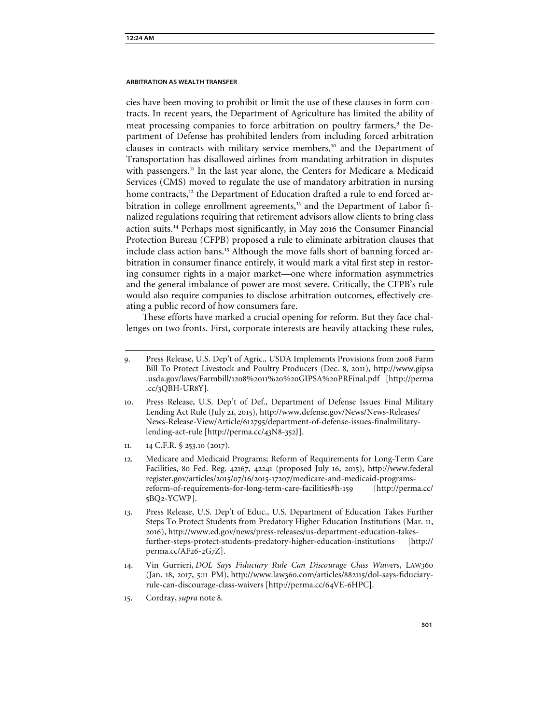cies have been moving to prohibit or limit the use of these clauses in form contracts. In recent years, the Department of Agriculture has limited the ability of meat processing companies to force arbitration on poultry farmers,<sup>[9](#page-3-0)</sup> the Department of Defense has prohibited lenders from including forced arbitration clauses in contracts with military service members,<sup>[10](#page-3-1)</sup> and the Department of Transportation has disallowed airlines from mandating arbitration in disputes with passengers.<sup>[11](#page-3-2)</sup> In the last year alone, the Centers for Medicare & Medicaid Services (CMS) moved to regulate the use of mandatory arbitration in nursing home contracts,<sup>[12](#page-3-3)</sup> the Department of Education drafted a rule to end forced ar-bitration in college enrollment agreements,<sup>[13](#page-3-4)</sup> and the Department of Labor finalized regulations requiring that retirement advisors allow clients to bring class action suits.[14](#page-3-5) Perhaps most significantly, in May 2016 the Consumer Financial Protection Bureau (CFPB) proposed a rule to eliminate arbitration clauses that include class action bans.<sup>[15](#page-3-6)</sup> Although the move falls short of banning forced arbitration in consumer finance entirely, it would mark a vital first step in restoring consumer rights in a major market—one where information asymmetries and the general imbalance of power are most severe. Critically, the CFPB's rule would also require companies to disclose arbitration outcomes, effectively creating a public record of how consumers fare.

These efforts have marked a crucial opening for reform. But they face challenges on two fronts. First, corporate interests are heavily attacking these rules,

- <span id="page-3-1"></span>10. Press Release, U.S. Dep't of Def., Department of Defense Issues Final Military Lending Act Rule (July 21, 2015), http://www.defense.gov/News/News-Releases/ News-Release-View/Article/612795/department-of-defense-issues-finalmilitarylending-act-rule [http://perma.cc/43N8-352J].
- <span id="page-3-2"></span>11. 14 C.F.R. § 253.10 (2017).
- <span id="page-3-3"></span>12. Medicare and Medicaid Programs; Reform of Requirements for Long-Term Care Facilities, 80 Fed. Reg. 42167, 42241 (proposed July 16, 2015), http://www.federal register.gov/articles/2015/07/16/2015-17207/medicare-and-medicaid-programsreform-of-requirements-for-long-term-care-facilities#h-159 [http://perma.cc/ 5BQ2-YCWP].
- <span id="page-3-4"></span>13. Press Release, U.S. Dep't of Educ., U.S. Department of Education Takes Further Steps To Protect Students from Predatory Higher Education Institutions (Mar. 11, 2016), http://www.ed.gov/news/press-releases/us-department-education-takesfurther-steps-protect-students-predatory-higher-education-institutions [http:// perma.cc/AF26-2G7Z].
- <span id="page-3-5"></span>14. Vin Gurrieri, *DOL Says Fiduciary Rule Can Discourage Class Waivers*, LAW360 (Jan. 18, 2017, 5:11 PM), http://www.law360.com/articles/882115/dol-says-fiduciaryrule-can-discourage-class-waivers [http://perma.cc/64VE-6HPC].
- <span id="page-3-6"></span>15. Cordray, *supra* note 8.

<span id="page-3-0"></span><sup>9</sup>. Press Release, U.S. Dep't of Agric., USDA Implements Provisions from 2008 Farm Bill To Protect Livestock and Poultry Producers (Dec. 8, 2011), http://www.gipsa .usda.gov/laws/Farmbill/1208%2011%20%20GIPSA%20PRFinal.pdf [http://perma .cc/3QBH-UR8Y].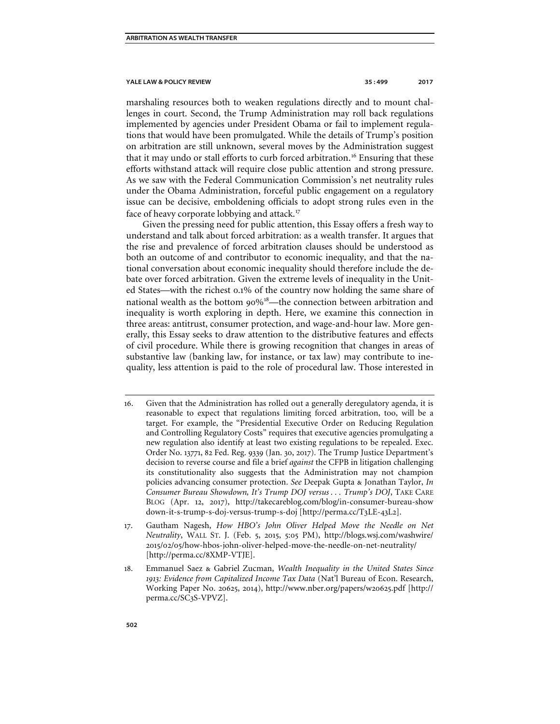marshaling resources both to weaken regulations directly and to mount challenges in court. Second, the Trump Administration may roll back regulations implemented by agencies under President Obama or fail to implement regulations that would have been promulgated. While the details of Trump's position on arbitration are still unknown, several moves by the Administration suggest that it may undo or stall efforts to curb forced arbitration.[16](#page-4-0) Ensuring that these efforts withstand attack will require close public attention and strong pressure. As we saw with the Federal Communication Commission's net neutrality rules under the Obama Administration, forceful public engagement on a regulatory issue can be decisive, emboldening officials to adopt strong rules even in the face of heavy corporate lobbying and attack.<sup>[17](#page-4-1)</sup>

Given the pressing need for public attention, this Essay offers a fresh way to understand and talk about forced arbitration: as a wealth transfer. It argues that the rise and prevalence of forced arbitration clauses should be understood as both an outcome of and contributor to economic inequality, and that the national conversation about economic inequality should therefore include the debate over forced arbitration. Given the extreme levels of inequality in the United States—with the richest 0.1% of the country now holding the same share of national wealth as the bottom 90%[18](#page-4-2)—the connection between arbitration and inequality is worth exploring in depth. Here, we examine this connection in three areas: antitrust, consumer protection, and wage-and-hour law. More generally, this Essay seeks to draw attention to the distributive features and effects of civil procedure. While there is growing recognition that changes in areas of substantive law (banking law, for instance, or tax law) may contribute to inequality, less attention is paid to the role of procedural law. Those interested in

- <span id="page-4-0"></span>16. Given that the Administration has rolled out a generally deregulatory agenda, it is reasonable to expect that regulations limiting forced arbitration, too, will be a target. For example, the "Presidential Executive Order on Reducing Regulation and Controlling Regulatory Costs" requires that executive agencies promulgating a new regulation also identify at least two existing regulations to be repealed. Exec. Order No. 13771, 82 Fed. Reg. 9339 (Jan. 30, 2017). The Trump Justice Department's decision to reverse course and file a brief *against* the CFPB in litigation challenging its constitutionality also suggests that the Administration may not champion policies advancing consumer protection. *See* Deepak Gupta & Jonathan Taylor, *In Consumer Bureau Showdown, It's Trump DOJ versus . . . Trump's DOJ*, TAKE CARE BLOG (Apr. 12, 2017), http://takecareblog.com/blog/in-consumer-bureau-show down-it-s-trump-s-doj-versus-trump-s-doj [http://perma.cc/T3LE-43L2].
- <span id="page-4-1"></span>17. Gautham Nagesh, *How HBO's John Oliver Helped Move the Needle on Net Neutrality*, WALL ST. J. (Feb. 5, 2015, 5:05 PM), http://blogs.wsj.com/washwire/ 2015/02/05/how-hbos-john-oliver-helped-move-the-needle-on-net-neutrality/ [http://perma.cc/8XMP-VTJE].
- <span id="page-4-2"></span>18. Emmanuel Saez & Gabriel Zucman, *Wealth Inequality in the United States Since 1913: Evidence from Capitalized Income Tax Data* (Nat'l Bureau of Econ. Research, Working Paper No. 20625, 2014), http://www.nber.org/papers/w20625.pdf [http:// perma.cc/SC3S-VPVZ].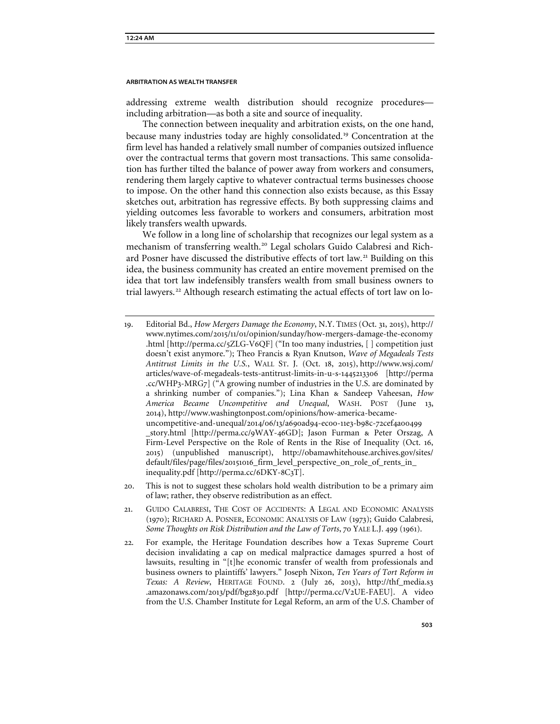addressing extreme wealth distribution should recognize procedures including arbitration—as both a site and source of inequality.

The connection between inequality and arbitration exists, on the one hand, because many industries today are highly consolidated.[19](#page-5-0) Concentration at the firm level has handed a relatively small number of companies outsized influence over the contractual terms that govern most transactions. This same consolidation has further tilted the balance of power away from workers and consumers, rendering them largely captive to whatever contractual terms businesses choose to impose. On the other hand this connection also exists because, as this Essay sketches out, arbitration has regressive effects. By both suppressing claims and yielding outcomes less favorable to workers and consumers, arbitration most likely transfers wealth upwards.

We follow in a long line of scholarship that recognizes our legal system as a mechanism of transferring wealth.<sup>[20](#page-5-1)</sup> Legal scholars Guido Calabresi and Rich-ard Posner have discussed the distributive effects of tort law.<sup>[21](#page-5-2)</sup> Building on this idea, the business community has created an entire movement premised on the idea that tort law indefensibly transfers wealth from small business owners to trial lawyers.<sup>[22](#page-5-3)</sup> Although research estimating the actual effects of tort law on lo-

- <span id="page-5-1"></span>20. This is not to suggest these scholars hold wealth distribution to be a primary aim of law; rather, they observe redistribution as an effect.
- <span id="page-5-2"></span>21. GUIDO CALABRESI, THE COST OF ACCIDENTS: A LEGAL AND ECONOMIC ANALYSIS (1970); RICHARD A. POSNER, ECONOMIC ANALYSIS OF LAW (1973); Guido Calabresi, *Some Thoughts on Risk Distribution and the Law of Torts*, 70 YALE L.J. 499 (1961).
- <span id="page-5-3"></span>22. For example, the Heritage Foundation describes how a Texas Supreme Court decision invalidating a cap on medical malpractice damages spurred a host of lawsuits, resulting in "[t]he economic transfer of wealth from professionals and business owners to plaintiffs' lawyers." Joseph Nixon, *Ten Years of Tort Reform in Texas: A Review*, HERITAGE FOUND. 2 (July 26, 2013), http://thf\_media.s3 .amazonaws.com/2013/pdf/bg2830.pdf [http://perma.cc/V2UE-FAEU]. A video from the U.S. Chamber Institute for Legal Reform, an arm of the U.S. Chamber of

<span id="page-5-0"></span><sup>19</sup>. Editorial Bd., *How Mergers Damage the Economy*, N.Y. TIMES (Oct. 31, 2015), http:// www.nytimes.com/2015/11/01/opinion/sunday/how-mergers-damage-the-economy .html [http://perma.cc/5ZLG-V6QF] ("In too many industries, [ ] competition just doesn't exist anymore."); Theo Francis & Ryan Knutson, *Wave of Megadeals Tests Antitrust Limits in the U.S.*, WALL ST. J. (Oct. 18, 2015), http://www.wsj.com/ articles/wave-of-megadeals-tests-antitrust-limits-in-u-s-1445213306 [http://perma .cc/WHP3-MRG7] ("A growing number of industries in the U.S. are dominated by a shrinking number of companies."); Lina Khan & Sandeep Vaheesan, *How America Became Uncompetitive and Unequal*, WASH. POST (June 13, 2014), http://www.washingtonpost.com/opinions/how-america-becameuncompetitive-and-unequal/2014/06/13/a690ad94-ec00-11e3-b98c-72cef4a00499 \_story.html [http://perma.cc/9WAY-46GD]; Jason Furman & Peter Orszag, A Firm-Level Perspective on the Role of Rents in the Rise of Inequality (Oct. 16, 2015) (unpublished manuscript), http://obamawhitehouse.archives.gov/sites/ default/files/page/files/20151016\_firm\_level\_perspective\_on\_role\_of\_rents\_in\_ inequality.pdf [http://perma.cc/6DKY-8C3T].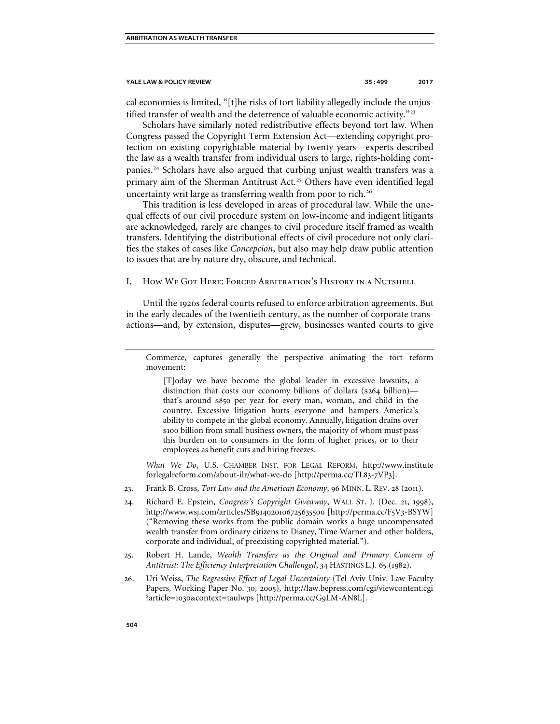cal economies is limited, "[t]he risks of tort liability allegedly include the unjus-tified transfer of wealth and the deterrence of valuable economic activity."<sup>[23](#page-6-0)</sup>

Scholars have similarly noted redistributive effects beyond tort law. When Congress passed the Copyright Term Extension Act—extending copyright protection on existing copyrightable material by twenty years—experts described the law as a wealth transfer from individual users to large, rights-holding com-panies.<sup>[24](#page-6-1)</sup> Scholars have also argued that curbing unjust wealth transfers was a primary aim of the Sherman Antitrust Act.<sup>[25](#page-6-2)</sup> Others have even identified legal uncertainty writ large as transferring wealth from poor to rich.<sup>[26](#page-6-3)</sup>

This tradition is less developed in areas of procedural law. While the unequal effects of our civil procedure system on low-income and indigent litigants are acknowledged, rarely are changes to civil procedure itself framed as wealth transfers. Identifying the distributional effects of civil procedure not only clarifies the stakes of cases like *Concepcion*, but also may help draw public attention to issues that are by nature dry, obscure, and technical.

# I. How We Got Here: Forced Arbitration's History in a Nutshell

Until the 1920s federal courts refused to enforce arbitration agreements. But in the early decades of the twentieth century, as the number of corporate transactions—and, by extension, disputes—grew, businesses wanted courts to give

Commerce, captures generally the perspective animating the tort reform movement:

[T]oday we have become the global leader in excessive lawsuits, a distinction that costs our economy billions of dollars (\$264 billion) that's around \$850 per year for every man, woman, and child in the country. Excessive litigation hurts everyone and hampers America's ability to compete in the global economy. Annually, litigation drains over \$100 billion from small business owners, the majority of whom must pass this burden on to consumers in the form of higher prices, or to their employees as benefit cuts and hiring freezes.

*What We Do*, U.S. CHAMBER INST. FOR LEGAL REFORM, http://www.institute forlegalreform.com/about-ilr/what-we-do [http://perma.cc/TL83-7VP3].

- <span id="page-6-0"></span>23. Frank B. Cross, *Tort Law and the American Economy*, 96 MINN. L. REV. 28 (2011).
- <span id="page-6-1"></span>24. Richard E. Epstein, *Congress's Copyright Giveaway*, WALL ST. J. (Dec. 21, 1998), http://www.wsj.com/articles/SB914020106725635500 [http://perma.cc/F5V3-BSYW] ("Removing these works from the public domain works a huge uncompensated wealth transfer from ordinary citizens to Disney, Time Warner and other holders, corporate and individual, of preexisting copyrighted material.").
- <span id="page-6-2"></span>25. Robert H. Lande, *Wealth Transfers as the Original and Primary Concern of Antitrust: The Efficiency Interpretation Challenged*, 34 HASTINGS L.J. 65 (1982).
- <span id="page-6-3"></span>26. Uri Weiss, *The Regressive Effect of Legal Uncertainty* (Tel Aviv Univ. Law Faculty Papers, Working Paper No. 30, 2005), http://law.bepress.com/cgi/viewcontent.cgi ?article=1030&context=taulwps [http://perma.cc/G9LM-AN8L].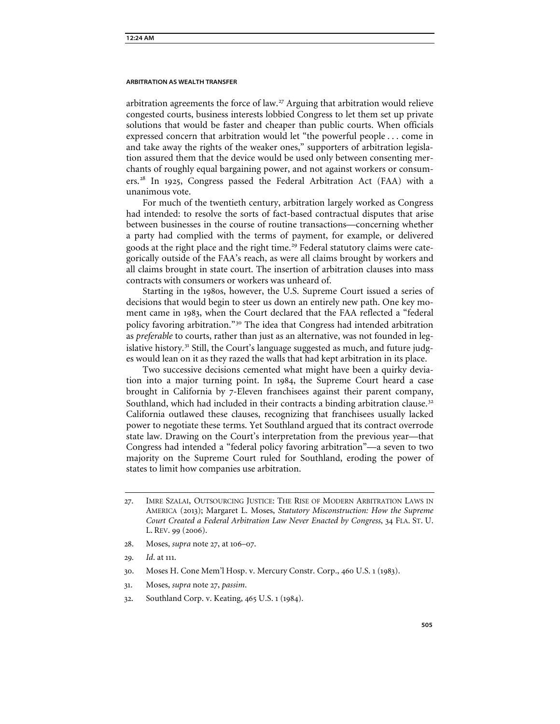arbitration agreements the force of law.<sup>[27](#page-7-0)</sup> Arguing that arbitration would relieve congested courts, business interests lobbied Congress to let them set up private solutions that would be faster and cheaper than public courts. When officials expressed concern that arbitration would let "the powerful people . . . come in and take away the rights of the weaker ones," supporters of arbitration legislation assured them that the device would be used only between consenting merchants of roughly equal bargaining power, and not against workers or consumers.[28](#page-7-1) In 1925, Congress passed the Federal Arbitration Act (FAA) with a unanimous vote.

For much of the twentieth century, arbitration largely worked as Congress had intended: to resolve the sorts of fact-based contractual disputes that arise between businesses in the course of routine transactions—concerning whether a party had complied with the terms of payment, for example, or delivered goods at the right place and the right time.<sup>[29](#page-7-2)</sup> Federal statutory claims were categorically outside of the FAA's reach, as were all claims brought by workers and all claims brought in state court. The insertion of arbitration clauses into mass contracts with consumers or workers was unheard of.

Starting in the 1980s, however, the U.S. Supreme Court issued a series of decisions that would begin to steer us down an entirely new path. One key moment came in 1983, when the Court declared that the FAA reflected a "federal policy favoring arbitration."[30](#page-7-3) The idea that Congress had intended arbitration as *preferable* to courts, rather than just as an alternative, was not founded in leg-islative history.<sup>[31](#page-7-4)</sup> Still, the Court's language suggested as much, and future judges would lean on it as they razed the walls that had kept arbitration in its place.

Two successive decisions cemented what might have been a quirky deviation into a major turning point. In 1984, the Supreme Court heard a case brought in California by 7-Eleven franchisees against their parent company, Southland, which had included in their contracts a binding arbitration clause.<sup>[32](#page-7-5)</sup> California outlawed these clauses, recognizing that franchisees usually lacked power to negotiate these terms. Yet Southland argued that its contract overrode state law. Drawing on the Court's interpretation from the previous year—that Congress had intended a "federal policy favoring arbitration"—a seven to two majority on the Supreme Court ruled for Southland, eroding the power of states to limit how companies use arbitration.

<span id="page-7-1"></span>28. Moses, *supra* note 27, at 106–07.

- <span id="page-7-3"></span>30. Moses H. Cone Mem'l Hosp. v. Mercury Constr. Corp., 460 U.S. 1 (1983).
- <span id="page-7-4"></span>31. Moses, *supra* note 27, *passim*.
- <span id="page-7-5"></span>32. Southland Corp. v. Keating, 465 U.S. 1 (1984).

<span id="page-7-0"></span><sup>27</sup>. IMRE SZALAI, OUTSOURCING JUSTICE: THE RISE OF MODERN ARBITRATION LAWS IN AMERICA (2013); Margaret L. Moses, *Statutory Misconstruction: How the Supreme Court Created a Federal Arbitration Law Never Enacted by Congress*, 34 FLA. ST. U. L. REV. 99 (2006).

<span id="page-7-2"></span><sup>29</sup>*. Id*. at 111.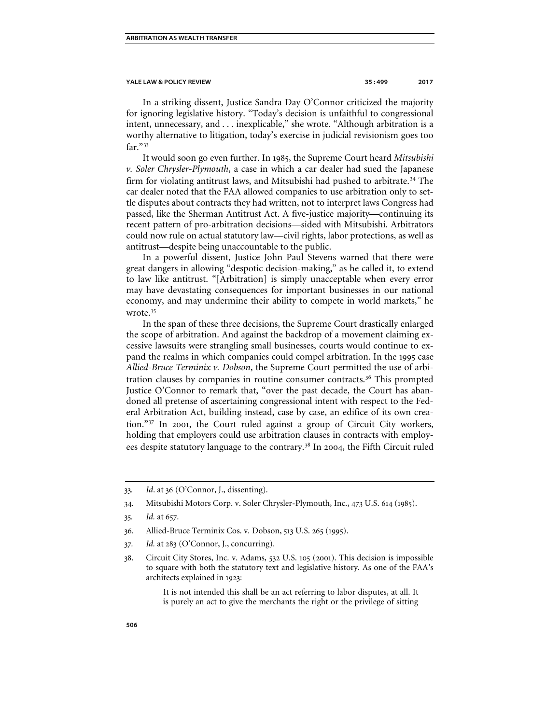In a striking dissent, Justice Sandra Day O'Connor criticized the majority for ignoring legislative history. "Today's decision is unfaithful to congressional intent, unnecessary, and . . . inexplicable," she wrote. "Although arbitration is a worthy alternative to litigation, today's exercise in judicial revisionism goes too far."[33](#page-8-0)

It would soon go even further. In 1985, the Supreme Court heard *Mitsubishi v. Soler Chrysler-Plymouth*, a case in which a car dealer had sued the Japanese firm for violating antitrust laws, and Mitsubishi had pushed to arbitrate.<sup>[34](#page-8-1)</sup> The car dealer noted that the FAA allowed companies to use arbitration only to settle disputes about contracts they had written, not to interpret laws Congress had passed, like the Sherman Antitrust Act. A five-justice majority—continuing its recent pattern of pro-arbitration decisions—sided with Mitsubishi. Arbitrators could now rule on actual statutory law—civil rights, labor protections, as well as antitrust—despite being unaccountable to the public.

In a powerful dissent, Justice John Paul Stevens warned that there were great dangers in allowing "despotic decision-making," as he called it, to extend to law like antitrust. "[Arbitration] is simply unacceptable when every error may have devastating consequences for important businesses in our national economy, and may undermine their ability to compete in world markets," he wrote.<sup>[35](#page-8-2)</sup>

In the span of these three decisions, the Supreme Court drastically enlarged the scope of arbitration. And against the backdrop of a movement claiming excessive lawsuits were strangling small businesses, courts would continue to expand the realms in which companies could compel arbitration. In the 1995 case *Allied-Bruce Terminix v. Dobson*, the Supreme Court permitted the use of arbitration clauses by companies in routine consumer contracts.[36](#page-8-3) This prompted Justice O'Connor to remark that, "over the past decade, the Court has abandoned all pretense of ascertaining congressional intent with respect to the Federal Arbitration Act, building instead, case by case, an edifice of its own creation."[37](#page-8-4) In 2001, the Court ruled against a group of Circuit City workers, holding that employers could use arbitration clauses in contracts with employ-ees despite statutory language to the contrary.<sup>[38](#page-8-5)</sup> In 2004, the Fifth Circuit ruled

It is not intended this shall be an act referring to labor disputes, at all. It is purely an act to give the merchants the right or the privilege of sitting

<span id="page-8-0"></span><sup>33</sup>*. Id*. at 36 (O'Connor, J., dissenting).

<span id="page-8-2"></span><span id="page-8-1"></span><sup>34</sup>. Mitsubishi Motors Corp. v. Soler Chrysler-Plymouth, Inc., 473 U.S. 614 (1985).

<sup>35</sup>*. Id.* at 657.

<span id="page-8-3"></span><sup>36</sup>. Allied-Bruce Terminix Cos. v. Dobson, 513 U.S. 265 (1995).

<span id="page-8-4"></span><sup>37</sup>*. Id.* at 283 (O'Connor, J., concurring).

<span id="page-8-5"></span><sup>38</sup>. Circuit City Stores, Inc. v. Adams, 532 U.S. 105 (2001). This decision is impossible to square with both the statutory text and legislative history. As one of the FAA's architects explained in 1923: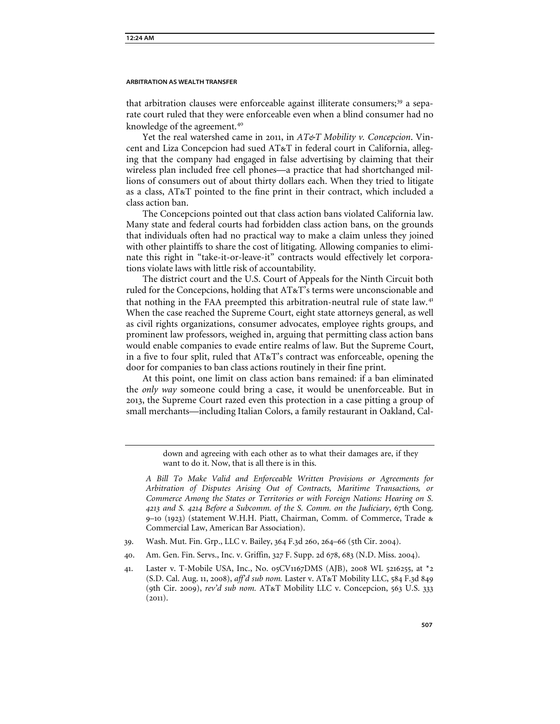that arbitration clauses were enforceable against illiterate consumers;[39](#page-9-0) a separate court ruled that they were enforceable even when a blind consumer had no knowledge of the agreement.<sup>[40](#page-9-1)</sup>

Yet the real watershed came in 2011, in *AT&T Mobility v. Concepcion*. Vincent and Liza Concepcion had sued AT&T in federal court in California, alleging that the company had engaged in false advertising by claiming that their wireless plan included free cell phones—a practice that had shortchanged millions of consumers out of about thirty dollars each. When they tried to litigate as a class, AT&T pointed to the fine print in their contract, which included a class action ban.

The Concepcions pointed out that class action bans violated California law. Many state and federal courts had forbidden class action bans, on the grounds that individuals often had no practical way to make a claim unless they joined with other plaintiffs to share the cost of litigating. Allowing companies to eliminate this right in "take-it-or-leave-it" contracts would effectively let corporations violate laws with little risk of accountability.

The district court and the U.S. Court of Appeals for the Ninth Circuit both ruled for the Concepcions, holding that AT&T's terms were unconscionable and that nothing in the FAA preempted this arbitration-neutral rule of state law.<sup>[41](#page-9-2)</sup> When the case reached the Supreme Court, eight state attorneys general, as well as civil rights organizations, consumer advocates, employee rights groups, and prominent law professors, weighed in, arguing that permitting class action bans would enable companies to evade entire realms of law. But the Supreme Court, in a five to four split, ruled that AT&T's contract was enforceable, opening the door for companies to ban class actions routinely in their fine print.

At this point, one limit on class action bans remained: if a ban eliminated the *only way* someone could bring a case, it would be unenforceable. But in 2013, the Supreme Court razed even this protection in a case pitting a group of small merchants—including Italian Colors, a family restaurant in Oakland, Cal-

> down and agreeing with each other as to what their damages are, if they want to do it. Now, that is all there is in this.

*A Bill To Make Valid and Enforceable Written Provisions or Agreements for Arbitration of Disputes Arising Out of Contracts, Maritime Transactions, or Commerce Among the States or Territories or with Foreign Nations: Hearing on S. 4213 and S. 4214 Before a Subcomm. of the S. Comm. on the Judiciary*, 67th Cong. 9–10 (1923) (statement W.H.H. Piatt, Chairman, Comm. of Commerce, Trade & Commercial Law, American Bar Association).

- <span id="page-9-1"></span><span id="page-9-0"></span>39. Wash. Mut. Fin. Grp., LLC v. Bailey, 364 F.3d 260, 264–66 (5th Cir. 2004).
- 40. Am. Gen. Fin. Servs., Inc. v. Griffin, 327 F. Supp. 2d 678, 683 (N.D. Miss. 2004).
- <span id="page-9-2"></span>41. Laster v. T-Mobile USA, Inc., No. 05CV1167DMS (AJB), 2008 WL 5216255, at \*2 (S.D. Cal. Aug. 11, 2008), *aff'd sub nom.* Laster v. AT&T Mobility LLC, 584 F.3d 849 (9th Cir. 2009), *rev'd sub nom.* AT&T Mobility LLC v. Concepcion, 563 U.S. 333  $(2011).$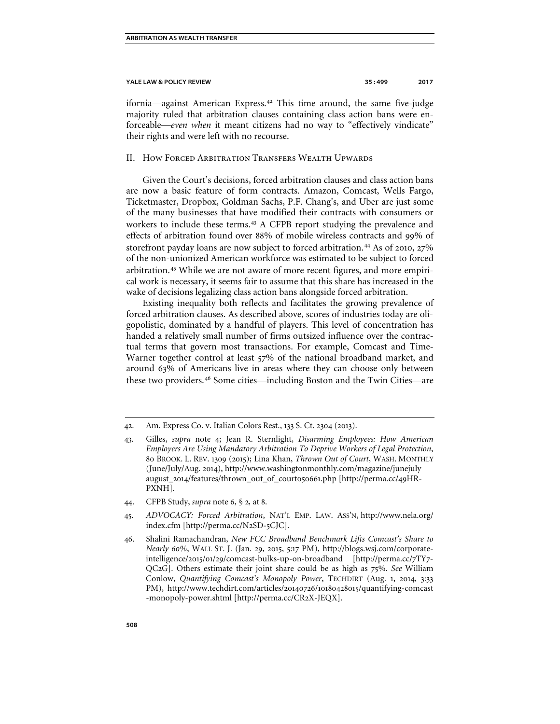ifornia—against American Express.<sup>[42](#page-10-0)</sup> This time around, the same five-judge majority ruled that arbitration clauses containing class action bans were enforceable—*even when* it meant citizens had no way to "effectively vindicate" their rights and were left with no recourse.

# II. How Forced Arbitration Transfers Wealth Upwards

Given the Court's decisions, forced arbitration clauses and class action bans are now a basic feature of form contracts. Amazon, Comcast, Wells Fargo, Ticketmaster, Dropbox, Goldman Sachs, P.F. Chang's, and Uber are just some of the many businesses that have modified their contracts with consumers or workers to include these terms.<sup>[43](#page-10-1)</sup> A CFPB report studying the prevalence and effects of arbitration found over 88% of mobile wireless contracts and 99% of storefront payday loans are now subject to forced arbitration.<sup>[44](#page-10-2)</sup> As of 2010, 27% of the non-unionized American workforce was estimated to be subject to forced arbitration.<sup>[45](#page-10-3)</sup> While we are not aware of more recent figures, and more empirical work is necessary, it seems fair to assume that this share has increased in the wake of decisions legalizing class action bans alongside forced arbitration.

Existing inequality both reflects and facilitates the growing prevalence of forced arbitration clauses. As described above, scores of industries today are oligopolistic, dominated by a handful of players. This level of concentration has handed a relatively small number of firms outsized influence over the contractual terms that govern most transactions. For example, Comcast and Time-Warner together control at least 57% of the national broadband market, and around 63% of Americans live in areas where they can choose only between these two providers.[46](#page-10-4) Some cities—including Boston and the Twin Cities—are

- <span id="page-10-2"></span>44. CFPB Study, *supra* note 6, § 2, at 8.
- <span id="page-10-3"></span>45. *ADVOCACY: Forced Arbitration*, NAT'L EMP. LAW. ASS'N, http://www.nela.org/ index.cfm [\[http://perma.cc/N](https://urldefense.proofpoint.com/v2/url?u=https-3A__perma.cc_N2SD-2D5CJC&d=DwMFaQ&c=cjytLXgP8ixuoHflwc-poQ&r=hER_4J_FcehoBtrg06NMyq5bSC3uIMc2TaOtd-u1Ji8&m=Npy1DD8QeztmTmBJS7XEeENXp4b8T4HRfT33VuXcsBM&s=wsKygYveInPtkPiW5Q7JHpayQWdkS0GOFXj6qSIxbfM&e=)2SD-5CJC].
- <span id="page-10-4"></span>46. Shalini Ramachandran, *New FCC Broadband Benchmark Lifts Comcast's Share to Nearly 60%*, WALL ST. J. (Jan. 29, 2015, 5:17 PM), http://blogs.wsj.com/corporateintelligence/2015/01/29/comcast-bulks-up-on-broadband [http://perma.cc/7TY7- QC2G]. Others estimate their joint share could be as high as 75%. *See* William Conlow, *Quantifying Comcast's Monopoly Power*, TECHDIRT (Aug. 1, 2014, 3:33 PM), http://www.techdirt.com/articles/20140726/10180428015/quantifying-comcast -monopoly-power.shtml [http://perma.cc/CR2X-JEQX].

<span id="page-10-0"></span><sup>42</sup>. Am. Express Co. v. Italian Colors Rest., 133 S. Ct. 2304 (2013).

<span id="page-10-1"></span><sup>43</sup>. Gilles, *supra* note 4; Jean R. Sternlight, *Disarming Employees: How American Employers Are Using Mandatory Arbitration To Deprive Workers of Legal Protection*, 80 BROOK. L. REV. 1309 (2015); Lina Khan, *Thrown Out of Court*, WASH. MONTHLY (June/July/Aug. 2014), http://www.washingtonmonthly.com/magazine/junejuly august\_2014/features/thrown\_out\_of\_court050661.php [http://perma.cc/49HR-PXNH].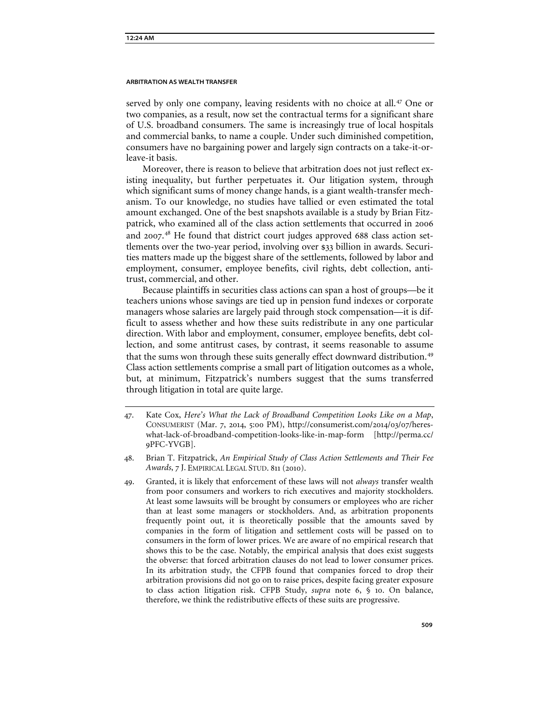served by only one company, leaving residents with no choice at all.<sup>[47](#page-11-0)</sup> One or two companies, as a result, now set the contractual terms for a significant share of U.S. broadband consumers. The same is increasingly true of local hospitals and commercial banks, to name a couple. Under such diminished competition, consumers have no bargaining power and largely sign contracts on a take-it-orleave-it basis.

Moreover, there is reason to believe that arbitration does not just reflect existing inequality, but further perpetuates it. Our litigation system, through which significant sums of money change hands, is a giant wealth-transfer mechanism. To our knowledge, no studies have tallied or even estimated the total amount exchanged. One of the best snapshots available is a study by Brian Fitzpatrick, who examined all of the class action settlements that occurred in 2006 and 2007.<sup>[48](#page-11-1)</sup> He found that district court judges approved 688 class action settlements over the two-year period, involving over \$33 billion in awards. Securities matters made up the biggest share of the settlements, followed by labor and employment, consumer, employee benefits, civil rights, debt collection, antitrust, commercial, and other.

Because plaintiffs in securities class actions can span a host of groups—be it teachers unions whose savings are tied up in pension fund indexes or corporate managers whose salaries are largely paid through stock compensation—it is difficult to assess whether and how these suits redistribute in any one particular direction. With labor and employment, consumer, employee benefits, debt collection, and some antitrust cases, by contrast, it seems reasonable to assume that the sums won through these suits generally effect downward distribution.<sup>[49](#page-11-2)</sup> Class action settlements comprise a small part of litigation outcomes as a whole, but, at minimum, Fitzpatrick's numbers suggest that the sums transferred through litigation in total are quite large.

<span id="page-11-0"></span><sup>47</sup>. Kate Cox, *Here's What the Lack of Broadband Competition Looks Like on a Map*, CONSUMERIST (Mar. 7, 2014, 5:00 PM), http://consumerist.com/2014/03/07/hereswhat-lack-of-broadband-competition-looks-like-in-map-form [http://perma.cc/ 9PFC-YVGB].

<span id="page-11-1"></span><sup>48</sup>. Brian T. Fitzpatrick, *An Empirical Study of Class Action Settlements and Their Fee Awards*, 7 J. EMPIRICAL LEGAL STUD. 811 (2010).

<span id="page-11-2"></span><sup>49</sup>. Granted, it is likely that enforcement of these laws will not *always* transfer wealth from poor consumers and workers to rich executives and majority stockholders. At least some lawsuits will be brought by consumers or employees who are richer than at least some managers or stockholders. And, as arbitration proponents frequently point out, it is theoretically possible that the amounts saved by companies in the form of litigation and settlement costs will be passed on to consumers in the form of lower prices. We are aware of no empirical research that shows this to be the case. Notably, the empirical analysis that does exist suggests the obverse: that forced arbitration clauses do not lead to lower consumer prices. In its arbitration study, the CFPB found that companies forced to drop their arbitration provisions did not go on to raise prices, despite facing greater exposure to class action litigation risk. CFPB Study, *supra* note 6, § 10. On balance, therefore, we think the redistributive effects of these suits are progressive.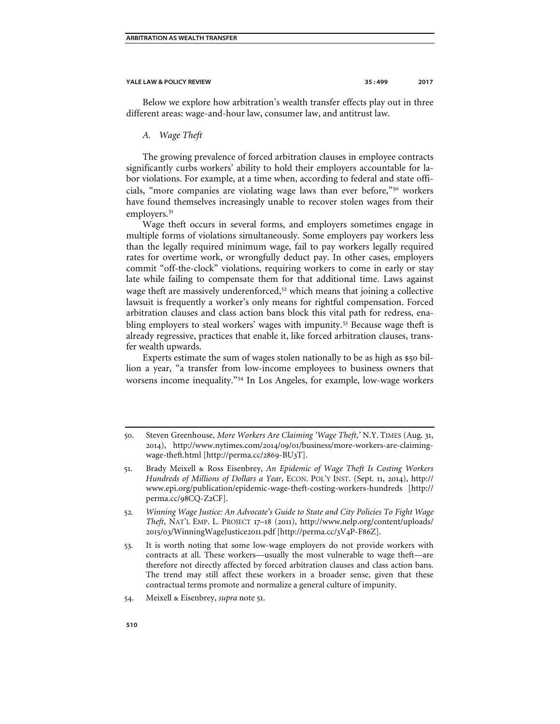Below we explore how arbitration's wealth transfer effects play out in three different areas: wage-and-hour law, consumer law, and antitrust law.

# *A. Wage Theft*

The growing prevalence of forced arbitration clauses in employee contracts significantly curbs workers' ability to hold their employers accountable for labor violations. For example, at a time when, according to federal and state officials, "more companies are violating wage laws than ever before,"[50](#page-12-0) workers have found themselves increasingly unable to recover stolen wages from their employers.<sup>[51](#page-12-1)</sup>

Wage theft occurs in several forms, and employers sometimes engage in multiple forms of violations simultaneously. Some employers pay workers less than the legally required minimum wage, fail to pay workers legally required rates for overtime work, or wrongfully deduct pay. In other cases, employers commit "off-the-clock" violations, requiring workers to come in early or stay late while failing to compensate them for that additional time. Laws against wage theft are massively underenforced,<sup>[52](#page-12-2)</sup> which means that joining a collective lawsuit is frequently a worker's only means for rightful compensation. Forced arbitration clauses and class action bans block this vital path for redress, enabling employers to steal workers' wages with impunity.[53](#page-12-3) Because wage theft is already regressive, practices that enable it, like forced arbitration clauses, transfer wealth upwards.

Experts estimate the sum of wages stolen nationally to be as high as \$50 billion a year, "a transfer from low-income employees to business owners that worsens income inequality."[54](#page-12-4) In Los Angeles, for example, low-wage workers

<span id="page-12-0"></span><sup>50</sup>. Steven Greenhouse, *More Workers Are Claiming 'Wage Theft*,*'* N.Y. TIMES (Aug. 31, 2014), http://www.nytimes.com/2014/09/01/business/more-workers-are-claimingwage-theft.html [http://perma.cc/2869-BU3T].

<span id="page-12-1"></span><sup>51</sup>. Brady Meixell & Ross Eisenbrey, *An Epidemic of Wage Theft Is Costing Workers Hundreds of Millions of Dollars a Year*, ECON. POL'Y INST. (Sept. 11, 2014), http:// www.epi.org/publication/epidemic-wage-theft-costing-workers-hundreds [http:// perma.cc/98CQ-Z2CF].

<span id="page-12-2"></span><sup>52</sup>*. Winning Wage Justice: An Advocate's Guide to State and City Policies To Fight Wage Theft*, NAT'L EMP. L. PROJECT 17–18 (2011), http://www.nelp.org/content/uploads/ 2015/03/WinningWageJustice2011.pdf [http://perma.cc/3V4P-F86Z].

<span id="page-12-3"></span><sup>53</sup>. It is worth noting that some low-wage employers do not provide workers with contracts at all. These workers—usually the most vulnerable to wage theft—are therefore not directly affected by forced arbitration clauses and class action bans. The trend may still affect these workers in a broader sense, given that these contractual terms promote and normalize a general culture of impunity.

<span id="page-12-4"></span><sup>54</sup>. Meixell & Eisenbrey, *supra* note 51.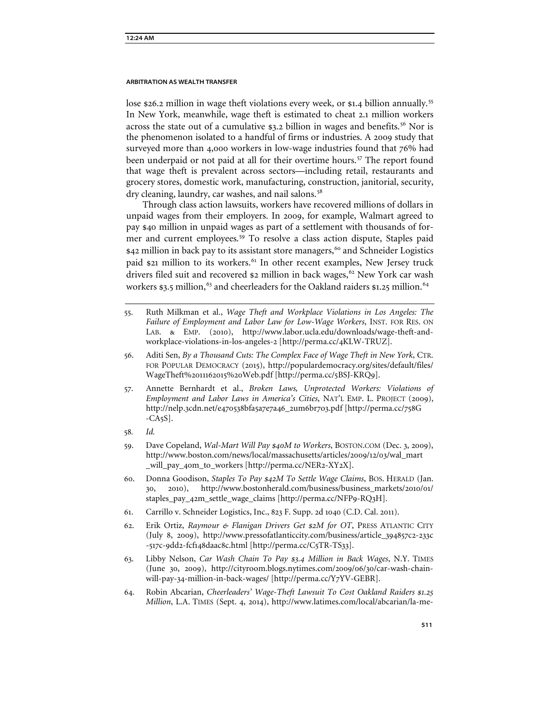lose \$26.2 million in wage theft violations every week, or \$1.4 billion annually.<sup>[55](#page-13-0)</sup> In New York, meanwhile, wage theft is estimated to cheat 2.1 million workers across the state out of a cumulative  $\epsilon$ 3.2 billion in wages and benefits.<sup>[56](#page-13-1)</sup> Nor is the phenomenon isolated to a handful of firms or industries. A 2009 study that surveyed more than 4,000 workers in low-wage industries found that 76% had been underpaid or not paid at all for their overtime hours.<sup>[57](#page-13-2)</sup> The report found that wage theft is prevalent across sectors—including retail, restaurants and grocery stores, domestic work, manufacturing, construction, janitorial, security, dry cleaning, laundry, car washes, and nail salons.<sup>[58](#page-13-3)</sup>

Through class action lawsuits, workers have recovered millions of dollars in unpaid wages from their employers. In 2009, for example, Walmart agreed to pay \$40 million in unpaid wages as part of a settlement with thousands of former and current employees.[59](#page-13-4) To resolve a class action dispute, Staples paid \$42 million in back pay to its assistant store managers,<sup>[60](#page-13-5)</sup> and Schneider Logistics paid \$21 million to its workers.<sup>[61](#page-13-6)</sup> In other recent examples, New Jersey truck drivers filed suit and recovered \$2 million in back wages,<sup>[62](#page-13-7)</sup> New York car wash workers \$3.5 million,<sup>[63](#page-13-8)</sup> and cheerleaders for the Oakland raiders \$1.25 million.<sup>[64](#page-13-9)</sup>

- <span id="page-13-0"></span>55. Ruth Milkman et al., *Wage Theft and Workplace Violations in Los Angeles: The Failure of Employment and Labor Law for Low-Wage Workers*, INST. FOR RES. ON LAB. & EMP. (2010), http://www.labor.ucla.edu/downloads/wage-theft-andworkplace-violations-in-los-angeles-2 [http://perma.cc/4KLW-TRUZ].
- <span id="page-13-1"></span>56. Aditi Sen, *By a Thousand Cuts: The Complex Face of Wage Theft in New York*, CTR. FOR POPULAR DEMOCRACY (2015), http://populardemocracy.org/sites/default/files/ WageTheft%2011162015%20Web.pdf [http://perma.cc/5BSJ-KRQ9].
- <span id="page-13-2"></span>57. Annette Bernhardt et al., *Broken Laws, Unprotected Workers: Violations of Employment and Labor Laws in America's Cities*, NAT'L EMP. L. PROJECT (2009), http://nelp.3cdn.net/e470538bfa5a7e7a46\_2um6br7o3.pdf [http://perma.cc/758G -CA5S].
- <span id="page-13-3"></span>58*. Id.*
- <span id="page-13-4"></span>59. Dave Copeland, *Wal-Mart Will Pay \$40M to Workers*, BOSTON.COM (Dec. 3, 2009), http://www.boston.com/news/local/massachusetts/articles/2009/12/03/wal\_mart \_will\_pay\_40m\_to\_workers [http://perma.cc/NER2-XY2X].
- <span id="page-13-5"></span>60. Donna Goodison, *Staples To Pay \$42M To Settle Wage Claims*, BOS. HERALD (Jan. 30, 2010), http://www.bostonherald.com/business/business\_markets/2010/01/ staples\_pay\_42m\_settle\_wage\_claims [http://perma.cc/NFP9-RQ3H].
- <span id="page-13-6"></span>61. Carrillo v. Schneider Logistics, Inc., 823 F. Supp. 2d 1040 (C.D. Cal. 2011).
- <span id="page-13-7"></span>62. Erik Ortiz, *Raymour & Flanigan Drivers Get \$2M for OT*, PRESS ATLANTIC CITY (July 8, 2009), http://www.pressofatlanticcity.com/business/article\_394857c2-233c -517c-9dd2-fcf148daac8c.html [http://perma.cc/C5TR-TS33].
- <span id="page-13-8"></span>63. Libby Nelson, *Car Wash Chain To Pay \$3.4 Million in Back Wages*, N.Y. TIMES (June 30, 2009), http://cityroom.blogs.nytimes.com/2009/06/30/car-wash-chainwill-pay-34-million-in-back-wages/ [http://perma.cc/Y7YV-GEBR].
- <span id="page-13-9"></span>64. Robin Abcarian, *Cheerleaders' Wage-Theft Lawsuit To Cost Oakland Raiders \$1.25 Million*, L.A. TIMES (Sept. 4, 2014), http://www.latimes.com/local/abcarian/la-me-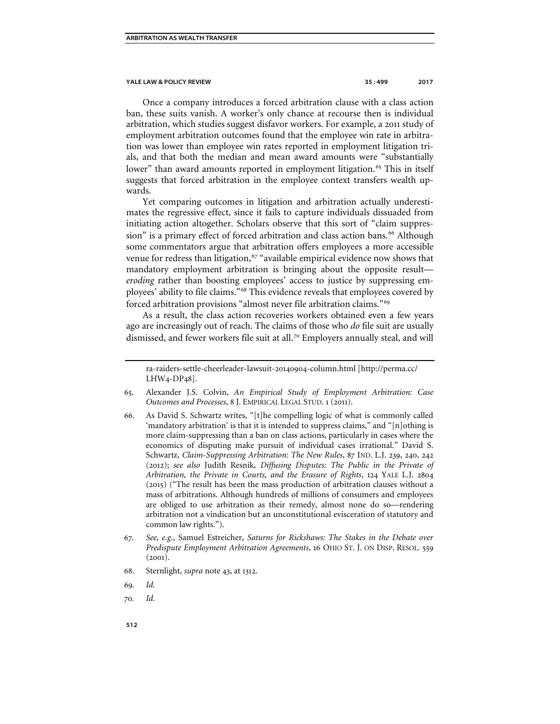Once a company introduces a forced arbitration clause with a class action ban, these suits vanish. A worker's only chance at recourse then is individual arbitration, which studies suggest disfavor workers. For example, a 2011 study of employment arbitration outcomes found that the employee win rate in arbitration was lower than employee win rates reported in employment litigation trials, and that both the median and mean award amounts were "substantially lower" than award amounts reported in employment litigation.<sup>[65](#page-14-0)</sup> This in itself suggests that forced arbitration in the employee context transfers wealth upwards.

Yet comparing outcomes in litigation and arbitration actually underestimates the regressive effect, since it fails to capture individuals dissuaded from initiating action altogether. Scholars observe that this sort of "claim suppres-sion" is a primary effect of forced arbitration and class action bans.<sup>[66](#page-14-1)</sup> Although some commentators argue that arbitration offers employees a more accessible venue for redress than litigation,  $67$  "available empirical evidence now shows that mandatory employment arbitration is bringing about the opposite result *eroding* rather than boosting employees' access to justice by suppressing employees' ability to file claims."[68](#page-14-3) This evidence reveals that employees covered by forced arbitration provisions "almost never file arbitration claims."[69](#page-14-4)

As a result, the class action recoveries workers obtained even a few years ago are increasingly out of reach. The claims of those who *do* file suit are usually dismissed, and fewer workers file suit at all.<sup>[70](#page-14-5)</sup> Employers annually steal, and will

- <span id="page-14-1"></span>66. As David S. Schwartz writes, "[t]he compelling logic of what is commonly called 'mandatory arbitration' is that it is intended to suppress claims," and "[n]othing is more claim-suppressing than a ban on class actions, particularly in cases where the economics of disputing make pursuit of individual cases irrational." David S. Schwartz, *Claim-Suppressing Arbitration: The New Rules*, 87 IND. L.J. 239, 240, 242 (2012); *see also* Judith Resnik, *Diffusing Disputes: The Public in the Private of Arbitration, the Private in Courts, and the Erasure of Rights*, 124 YALE L.J. 2804 (2015) ("The result has been the mass production of arbitration clauses without a mass of arbitrations. Although hundreds of millions of consumers and employees are obliged to use arbitration as their remedy, almost none do so—rendering arbitration not a vindication but an unconstitutional evisceration of statutory and common law rights.").
- <span id="page-14-2"></span>67*. See, e.g*., Samuel Estreicher, *Saturns for Rickshaws: The Stakes in the Debate over Predispute Employment Arbitration Agreements*, 16 OHIO ST. J. ON DISP. RESOL. 559 (2001).
- 68. Sternlight, *supra* note 43, at 1312.

<span id="page-14-5"></span>70*. Id.*

ra-raiders-settle-cheerleader-lawsuit-20140904-column.html [http://perma.cc/ LHW4-DP48].

<span id="page-14-0"></span><sup>65</sup>. Alexander J.S. Colvin, *An Empirical Study of Employment Arbitration: Case Outcomes and Processes*, 8 J. EMPIRICAL LEGAL STUD. 1 (2011).

<span id="page-14-4"></span><span id="page-14-3"></span><sup>69</sup>*. Id.*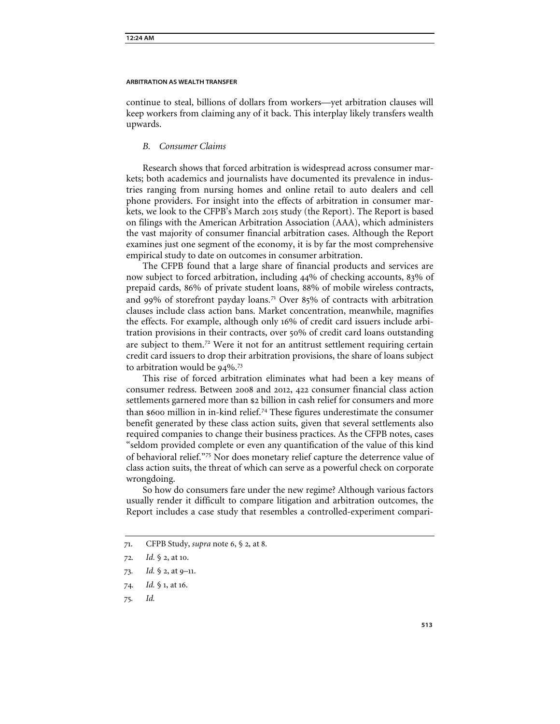continue to steal, billions of dollars from workers—yet arbitration clauses will keep workers from claiming any of it back. This interplay likely transfers wealth upwards.

# *B. Consumer Claims*

Research shows that forced arbitration is widespread across consumer markets; both academics and journalists have documented its prevalence in industries ranging from nursing homes and online retail to auto dealers and cell phone providers. For insight into the effects of arbitration in consumer markets, we look to the CFPB's March 2015 study (the Report). The Report is based on filings with the American Arbitration Association (AAA), which administers the vast majority of consumer financial arbitration cases. Although the Report examines just one segment of the economy, it is by far the most comprehensive empirical study to date on outcomes in consumer arbitration.

The CFPB found that a large share of financial products and services are now subject to forced arbitration, including 44% of checking accounts, 83% of prepaid cards, 86% of private student loans, 88% of mobile wireless contracts, and 99% of storefront payday loans.<sup>[71](#page-15-0)</sup> Over 85% of contracts with arbitration clauses include class action bans. Market concentration, meanwhile, magnifies the effects. For example, although only 16% of credit card issuers include arbitration provisions in their contracts, over 50% of credit card loans outstanding are subject to them.[72](#page-15-1) Were it not for an antitrust settlement requiring certain credit card issuers to drop their arbitration provisions, the share of loans subject to arbitration would be 94%.<sup>[73](#page-15-2)</sup>

This rise of forced arbitration eliminates what had been a key means of consumer redress. Between 2008 and 2012, 422 consumer financial class action settlements garnered more than \$2 billion in cash relief for consumers and more than \$600 million in in-kind relief.[74](#page-15-3) These figures underestimate the consumer benefit generated by these class action suits, given that several settlements also required companies to change their business practices. As the CFPB notes, cases "seldom provided complete or even any quantification of the value of this kind of behavioral relief."[75](#page-15-4) Nor does monetary relief capture the deterrence value of class action suits, the threat of which can serve as a powerful check on corporate wrongdoing.

So how do consumers fare under the new regime? Although various factors usually render it difficult to compare litigation and arbitration outcomes, the Report includes a case study that resembles a controlled-experiment compari-

<span id="page-15-4"></span>75*. Id.*

<sup>71</sup>. CFPB Study, *supra* note 6, § 2, at 8.

<span id="page-15-1"></span><span id="page-15-0"></span><sup>72</sup>*. Id.* § 2, at 10.

<span id="page-15-3"></span><span id="page-15-2"></span><sup>73</sup>*. Id.* § 2, at 9–11.

<sup>74</sup>*. Id.* § 1, at 16.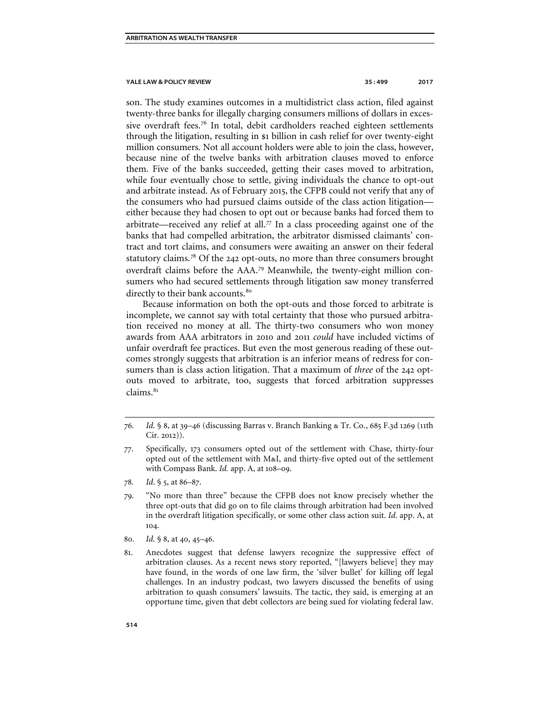son. The study examines outcomes in a multidistrict class action, filed against twenty-three banks for illegally charging consumers millions of dollars in exces-sive overdraft fees.<sup>[76](#page-16-0)</sup> In total, debit cardholders reached eighteen settlements through the litigation, resulting in \$1 billion in cash relief for over twenty-eight million consumers. Not all account holders were able to join the class, however, because nine of the twelve banks with arbitration clauses moved to enforce them. Five of the banks succeeded, getting their cases moved to arbitration, while four eventually chose to settle, giving individuals the chance to opt-out and arbitrate instead. As of February 2015, the CFPB could not verify that any of the consumers who had pursued claims outside of the class action litigation either because they had chosen to opt out or because banks had forced them to arbitrate—received any relief at all. $7\text{ In } a$  class proceeding against one of the banks that had compelled arbitration, the arbitrator dismissed claimants' contract and tort claims, and consumers were awaiting an answer on their federal statutory claims.[78](#page-16-2) Of the 242 opt-outs, no more than three consumers brought overdraft claims before the AAA. [79](#page-16-3) Meanwhile, the twenty-eight million consumers who had secured settlements through litigation saw money transferred directly to their bank accounts.<sup>[80](#page-16-4)</sup>

Because information on both the opt-outs and those forced to arbitrate is incomplete, we cannot say with total certainty that those who pursued arbitration received no money at all. The thirty-two consumers who won money awards from AAA arbitrators in 2010 and 2011 *could* have included victims of unfair overdraft fee practices. But even the most generous reading of these outcomes strongly suggests that arbitration is an inferior means of redress for consumers than is class action litigation. That a maximum of *three* of the 242 optouts moved to arbitrate, too, suggests that forced arbitration suppresses claims.<sup>[81](#page-16-5)</sup>

- <span id="page-16-1"></span>77. Specifically, 173 consumers opted out of the settlement with Chase, thirty-four opted out of the settlement with M&I, and thirty-five opted out of the settlement with Compass Bank. *Id.* app. A, at 108–09.
- <span id="page-16-2"></span>78*. Id*. § 5, at 86–87.
- <span id="page-16-3"></span>79. "No more than three" because the CFPB does not know precisely whether the three opt-outs that did go on to file claims through arbitration had been involved in the overdraft litigation specifically, or some other class action suit. *Id*. app. A, at 104.
- <span id="page-16-4"></span>80*. Id.* § 8, at 40, 45–46.
- <span id="page-16-5"></span>81. Anecdotes suggest that defense lawyers recognize the suppressive effect of arbitration clauses. As a recent news story reported, "[lawyers believe] they may have found, in the words of one law firm, the 'silver bullet' for killing off legal challenges. In an industry podcast, two lawyers discussed the benefits of using arbitration to quash consumers' lawsuits. The tactic, they said, is emerging at an opportune time, given that debt collectors are being sued for violating federal law.

<span id="page-16-0"></span><sup>76</sup>*. Id.* § 8, at 39–46 (discussing Barras v. Branch Banking & Tr. Co., 685 F.3d 1269 (11th Cir. 2012)).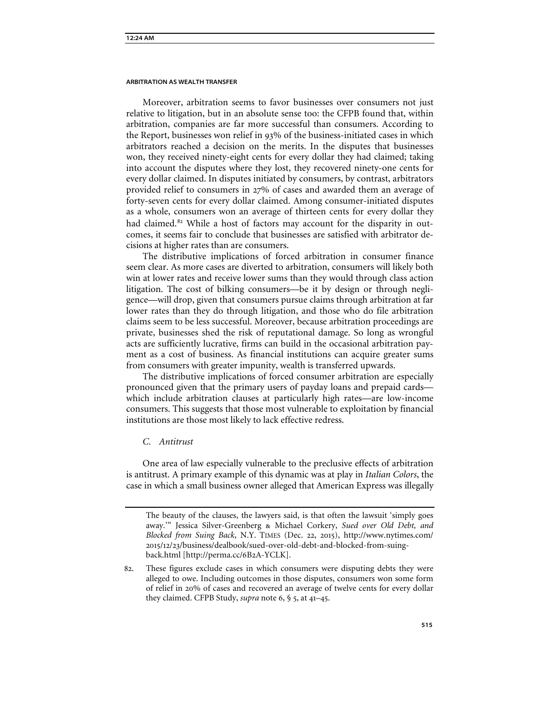Moreover, arbitration seems to favor businesses over consumers not just relative to litigation, but in an absolute sense too: the CFPB found that, within arbitration, companies are far more successful than consumers. According to the Report, businesses won relief in 93% of the business-initiated cases in which arbitrators reached a decision on the merits. In the disputes that businesses won, they received ninety-eight cents for every dollar they had claimed; taking into account the disputes where they lost, they recovered ninety-one cents for every dollar claimed. In disputes initiated by consumers, by contrast, arbitrators provided relief to consumers in 27% of cases and awarded them an average of forty-seven cents for every dollar claimed. Among consumer-initiated disputes as a whole, consumers won an average of thirteen cents for every dollar they had claimed.<sup>[82](#page-17-0)</sup> While a host of factors may account for the disparity in outcomes, it seems fair to conclude that businesses are satisfied with arbitrator decisions at higher rates than are consumers.

The distributive implications of forced arbitration in consumer finance seem clear. As more cases are diverted to arbitration, consumers will likely both win at lower rates and receive lower sums than they would through class action litigation. The cost of bilking consumers—be it by design or through negligence—will drop, given that consumers pursue claims through arbitration at far lower rates than they do through litigation, and those who do file arbitration claims seem to be less successful. Moreover, because arbitration proceedings are private, businesses shed the risk of reputational damage. So long as wrongful acts are sufficiently lucrative, firms can build in the occasional arbitration payment as a cost of business. As financial institutions can acquire greater sums from consumers with greater impunity, wealth is transferred upwards.

The distributive implications of forced consumer arbitration are especially pronounced given that the primary users of payday loans and prepaid cards which include arbitration clauses at particularly high rates—are low-income consumers. This suggests that those most vulnerable to exploitation by financial institutions are those most likely to lack effective redress.

# *C. Antitrust*

One area of law especially vulnerable to the preclusive effects of arbitration is antitrust. A primary example of this dynamic was at play in *Italian Colors*, the case in which a small business owner alleged that American Express was illegally

The beauty of the clauses, the lawyers said, is that often the lawsuit 'simply goes away.'" Jessica Silver-Greenberg & Michael Corkery, *Sued over Old Debt, and Blocked from Suing Back*, N.Y. TIMES (Dec. 22, 2015), http://www.nytimes.com/ 2015/12/23/business/dealbook/sued-over-old-debt-and-blocked-from-suingback.html [http://perma.cc/6B2A-YCLK].

<span id="page-17-0"></span><sup>82</sup>. These figures exclude cases in which consumers were disputing debts they were alleged to owe. Including outcomes in those disputes, consumers won some form of relief in 20% of cases and recovered an average of twelve cents for every dollar they claimed. CFPB Study, *supra* note 6, § 5, at 41–45.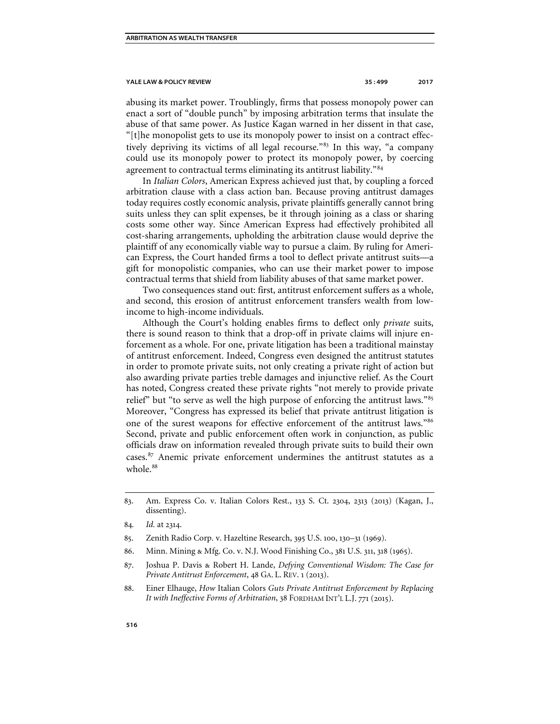abusing its market power. Troublingly, firms that possess monopoly power can enact a sort of "double punch" by imposing arbitration terms that insulate the abuse of that same power. As Justice Kagan warned in her dissent in that case, "[t]he monopolist gets to use its monopoly power to insist on a contract effectively depriving its victims of all legal recourse."[83](#page-18-0) In this way, "a company could use its monopoly power to protect its monopoly power, by coercing agreement to contractual terms eliminating its antitrust liability."<sup>[84](#page-18-1)</sup>

In *Italian Colors*, American Express achieved just that, by coupling a forced arbitration clause with a class action ban. Because proving antitrust damages today requires costly economic analysis, private plaintiffs generally cannot bring suits unless they can split expenses, be it through joining as a class or sharing costs some other way. Since American Express had effectively prohibited all cost-sharing arrangements, upholding the arbitration clause would deprive the plaintiff of any economically viable way to pursue a claim. By ruling for American Express, the Court handed firms a tool to deflect private antitrust suits—a gift for monopolistic companies, who can use their market power to impose contractual terms that shield from liability abuses of that same market power.

Two consequences stand out: first, antitrust enforcement suffers as a whole, and second, this erosion of antitrust enforcement transfers wealth from lowincome to high-income individuals.

Although the Court's holding enables firms to deflect only *private* suits, there is sound reason to think that a drop-off in private claims will injure enforcement as a whole. For one, private litigation has been a traditional mainstay of antitrust enforcement. Indeed, Congress even designed the antitrust statutes in order to promote private suits, not only creating a private right of action but also awarding private parties treble damages and injunctive relief. As the Court has noted, Congress created these private rights "not merely to provide private relief" but "to serve as well the high purpose of enforcing the antitrust laws."[85](#page-18-2) Moreover, "Congress has expressed its belief that private antitrust litigation is one of the surest weapons for effective enforcement of the antitrust laws."[86](#page-18-3) Second, private and public enforcement often work in conjunction, as public officials draw on information revealed through private suits to build their own cases.[87](#page-18-4) Anemic private enforcement undermines the antitrust statutes as a whole.<sup>[88](#page-18-5)</sup>

- <span id="page-18-3"></span>86. Minn. Mining & Mfg. Co. v. N.J. Wood Finishing Co., 381 U.S. 311, 318 (1965).
- <span id="page-18-4"></span>87. Joshua P. Davis & Robert H. Lande, *Defying Conventional Wisdom: The Case for Private Antitrust Enforcement*, 48 GA. L. REV. 1 (2013).
- <span id="page-18-5"></span>88. Einer Elhauge, *How* Italian Colors *Guts Private Antitrust Enforcement by Replacing It with Ineffective Forms of Arbitration*, 38 FORDHAM INT'L L.J. 771 (2015).

<span id="page-18-0"></span><sup>83</sup>. Am. Express Co. v. Italian Colors Rest., 133 S. Ct. 2304, 2313 (2013) (Kagan, J., dissenting).

<span id="page-18-1"></span><sup>84</sup>*. Id.* at 2314.

<span id="page-18-2"></span><sup>85</sup>. Zenith Radio Corp. v. Hazeltine Research, 395 U.S. 100, 130–31 (1969).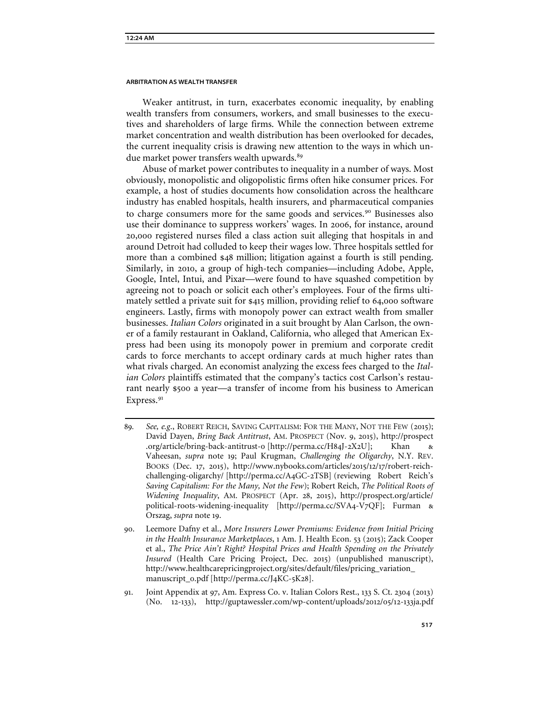Weaker antitrust, in turn, exacerbates economic inequality, by enabling wealth transfers from consumers, workers, and small businesses to the executives and shareholders of large firms. While the connection between extreme market concentration and wealth distribution has been overlooked for decades, the current inequality crisis is drawing new attention to the ways in which un-due market power transfers wealth upwards.<sup>[89](#page-19-0)</sup>

Abuse of market power contributes to inequality in a number of ways. Most obviously, monopolistic and oligopolistic firms often hike consumer prices. For example, a host of studies documents how consolidation across the healthcare industry has enabled hospitals, health insurers, and pharmaceutical companies to charge consumers more for the same goods and services.<sup>[90](#page-19-1)</sup> Businesses also use their dominance to suppress workers' wages. In 2006, for instance, around 20,000 registered nurses filed a class action suit alleging that hospitals in and around Detroit had colluded to keep their wages low. Three hospitals settled for more than a combined \$48 million; litigation against a fourth is still pending. Similarly, in 2010, a group of high-tech companies—including Adobe, Apple, Google, Intel, Intui, and Pixar—were found to have squashed competition by agreeing not to poach or solicit each other's employees. Four of the firms ultimately settled a private suit for \$415 million, providing relief to 64,000 software engineers. Lastly, firms with monopoly power can extract wealth from smaller businesses. *Italian Colors* originated in a suit brought by Alan Carlson, the owner of a family restaurant in Oakland, California, who alleged that American Express had been using its monopoly power in premium and corporate credit cards to force merchants to accept ordinary cards at much higher rates than what rivals charged. An economist analyzing the excess fees charged to the *Italian Colors* plaintiffs estimated that the company's tactics cost Carlson's restaurant nearly \$500 a year—a transfer of income from his business to American Express.<sup>[91](#page-19-2)</sup>

<span id="page-19-2"></span>91. Joint Appendix at 97, Am. Express Co. v. Italian Colors Rest., 133 S. Ct. 2304 (2013) (No. 12-133), http://guptawessler.com/wp-content/uploads/2012/05/12-133ja.pdf

<span id="page-19-0"></span><sup>89</sup>*. See, e.g*., ROBERT REICH, SAVING CAPITALISM: FOR THE MANY, NOT THE FEW (2015); David Dayen, *Bring Back Antitrust*, AM. PROSPECT (Nov. 9, 2015), http://prospect .org/article/bring-back-antitrust-0 [http://perma.cc/H84J-2X2U]; Khan & Vaheesan, *supra* note 19; Paul Krugman, *Challenging the Oligarchy*, N.Y. REV. BOOKS (Dec. 17, 2015), http://www.nybooks.com/articles/2015/12/17/robert-reichchallenging-oligarchy/ [http://perma.cc/A4GC-2TSB] (reviewing Robert Reich's *Saving Capitalism: For the Many, Not the Few*); Robert Reich, *The Political Roots of Widening Inequality*, AM. PROSPECT (Apr. 28, 2015), http://prospect.org/article/ political-roots-widening-inequality [http://perma.cc/SVA4-V7QF]; Furman & Orszag, *supra* note 19.

<span id="page-19-1"></span><sup>90</sup>. Leemore Dafny et al., *More Insurers Lower Premiums: Evidence from Initial Pricing in the Health Insurance Marketplaces*, 1 Am. J. Health Econ. 53 (2015); Zack Cooper et al., *The Price Ain't Right? Hospital Prices and Health Spending on the Privately Insured* (Health Care Pricing Project, Dec. 2015) (unpublished manuscript), http://www.healthcarepricingproject.org/sites/default/files/pricing\_variation\_ manuscript\_0.pdf [http://perma.cc/J4KC-5K28].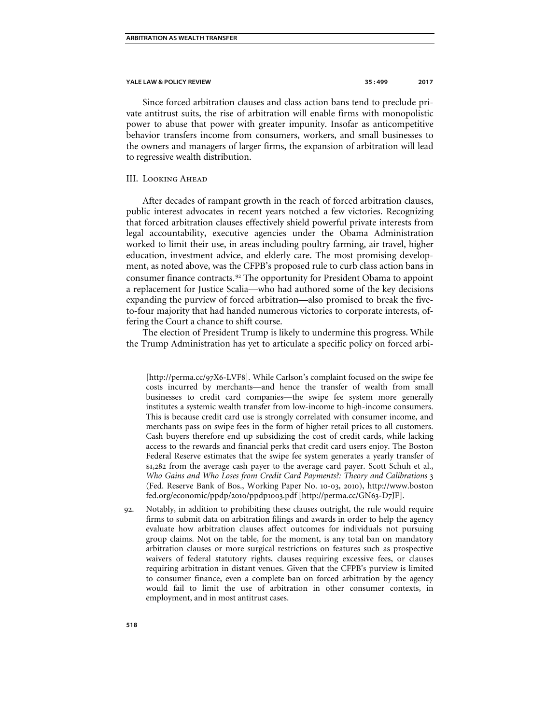Since forced arbitration clauses and class action bans tend to preclude private antitrust suits, the rise of arbitration will enable firms with monopolistic power to abuse that power with greater impunity. Insofar as anticompetitive behavior transfers income from consumers, workers, and small businesses to the owners and managers of larger firms, the expansion of arbitration will lead to regressive wealth distribution.

# III. Looking Ahead

After decades of rampant growth in the reach of forced arbitration clauses, public interest advocates in recent years notched a few victories. Recognizing that forced arbitration clauses effectively shield powerful private interests from legal accountability, executive agencies under the Obama Administration worked to limit their use, in areas including poultry farming, air travel, higher education, investment advice, and elderly care. The most promising development, as noted above, was the CFPB's proposed rule to curb class action bans in consumer finance contracts.<sup>[92](#page-20-0)</sup> The opportunity for President Obama to appoint a replacement for Justice Scalia—who had authored some of the key decisions expanding the purview of forced arbitration—also promised to break the fiveto-four majority that had handed numerous victories to corporate interests, offering the Court a chance to shift course.

The election of President Trump is likely to undermine this progress. While the Trump Administration has yet to articulate a specific policy on forced arbi-

<sup>[</sup>http://perma.cc/97X6-LVF8]*.* While Carlson's complaint focused on the swipe fee costs incurred by merchants—and hence the transfer of wealth from small businesses to credit card companies—the swipe fee system more generally institutes a systemic wealth transfer from low-income to high-income consumers. This is because credit card use is strongly correlated with consumer income, and merchants pass on swipe fees in the form of higher retail prices to all customers. Cash buyers therefore end up subsidizing the cost of credit cards, while lacking access to the rewards and financial perks that credit card users enjoy. The Boston Federal Reserve estimates that the swipe fee system generates a yearly transfer of \$1,282 from the average cash payer to the average card payer. Scott Schuh et al., *Who Gains and Who Loses from Credit Card Payments?: Theory and Calibrations* 3 (Fed. Reserve Bank of Bos., Working Paper No. 10-03, 2010), http://www.boston fed.org/economic/ppdp/2010/ppdp1003.pdf [http://perma.cc/GN63-D7JF].

<span id="page-20-0"></span><sup>92</sup>. Notably, in addition to prohibiting these clauses outright, the rule would require firms to submit data on arbitration filings and awards in order to help the agency evaluate how arbitration clauses affect outcomes for individuals not pursuing group claims. Not on the table, for the moment, is any total ban on mandatory arbitration clauses or more surgical restrictions on features such as prospective waivers of federal statutory rights, clauses requiring excessive fees, or clauses requiring arbitration in distant venues. Given that the CFPB's purview is limited to consumer finance, even a complete ban on forced arbitration by the agency would fail to limit the use of arbitration in other consumer contexts, in employment, and in most antitrust cases.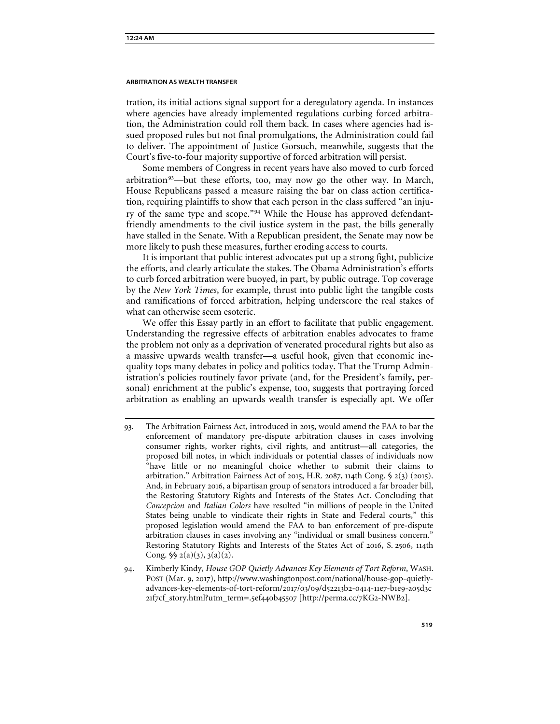tration, its initial actions signal support for a deregulatory agenda. In instances where agencies have already implemented regulations curbing forced arbitration, the Administration could roll them back. In cases where agencies had issued proposed rules but not final promulgations, the Administration could fail to deliver. The appointment of Justice Gorsuch, meanwhile, suggests that the Court's five-to-four majority supportive of forced arbitration will persist.

Some members of Congress in recent years have also moved to curb forced arbitration<sup>[93](#page-21-0)</sup>—but these efforts, too, may now go the other way. In March, House Republicans passed a measure raising the bar on class action certification, requiring plaintiffs to show that each person in the class suffered "an injury of the same type and scope."[94](#page-21-1) While the House has approved defendantfriendly amendments to the civil justice system in the past, the bills generally have stalled in the Senate. With a Republican president, the Senate may now be more likely to push these measures, further eroding access to courts.

It is important that public interest advocates put up a strong fight, publicize the efforts, and clearly articulate the stakes. The Obama Administration's efforts to curb forced arbitration were buoyed, in part, by public outrage. Top coverage by the *New York Times*, for example, thrust into public light the tangible costs and ramifications of forced arbitration, helping underscore the real stakes of what can otherwise seem esoteric.

We offer this Essay partly in an effort to facilitate that public engagement. Understanding the regressive effects of arbitration enables advocates to frame the problem not only as a deprivation of venerated procedural rights but also as a massive upwards wealth transfer—a useful hook, given that economic inequality tops many debates in policy and politics today. That the Trump Administration's policies routinely favor private (and, for the President's family, personal) enrichment at the public's expense, too, suggests that portraying forced arbitration as enabling an upwards wealth transfer is especially apt. We offer

<span id="page-21-0"></span><sup>93</sup>. The Arbitration Fairness Act, introduced in 2015, would amend the FAA to bar the enforcement of mandatory pre-dispute arbitration clauses in cases involving consumer rights, worker rights, civil rights, and antitrust—all categories, the proposed bill notes, in which individuals or potential classes of individuals now "have little or no meaningful choice whether to submit their claims to arbitration." Arbitration Fairness Act of 2015, H.R. 2087, 114th Cong. § 2(3) (2015). And, in February 2016, a bipartisan group of senators introduced a far broader bill, the Restoring Statutory Rights and Interests of the States Act. Concluding that *Concepcion* and *Italian Colors* have resulted "in millions of people in the United States being unable to vindicate their rights in State and Federal courts," this proposed legislation would amend the FAA to ban enforcement of pre-dispute arbitration clauses in cases involving any "individual or small business concern." Restoring Statutory Rights and Interests of the States Act of 2016, S. 2506, 114th Cong.  $\frac{6}{5}$  2(a)(3), 3(a)(2).

<span id="page-21-1"></span><sup>94</sup>. Kimberly Kindy, *House GOP Quietly Advances Key Elements of Tort Reform*, WASH. POST (Mar. 9, 2017), http://www.washingtonpost.com/national/house-gop-quietlyadvances-key-elements-of-tort-reform/2017/03/09/d52213b2-0414-11e7-b1e9-a05d3c 21f7cf\_story.html?utm\_term=.5ef440b45507 [http://perma.cc/7KG2-NWB2].